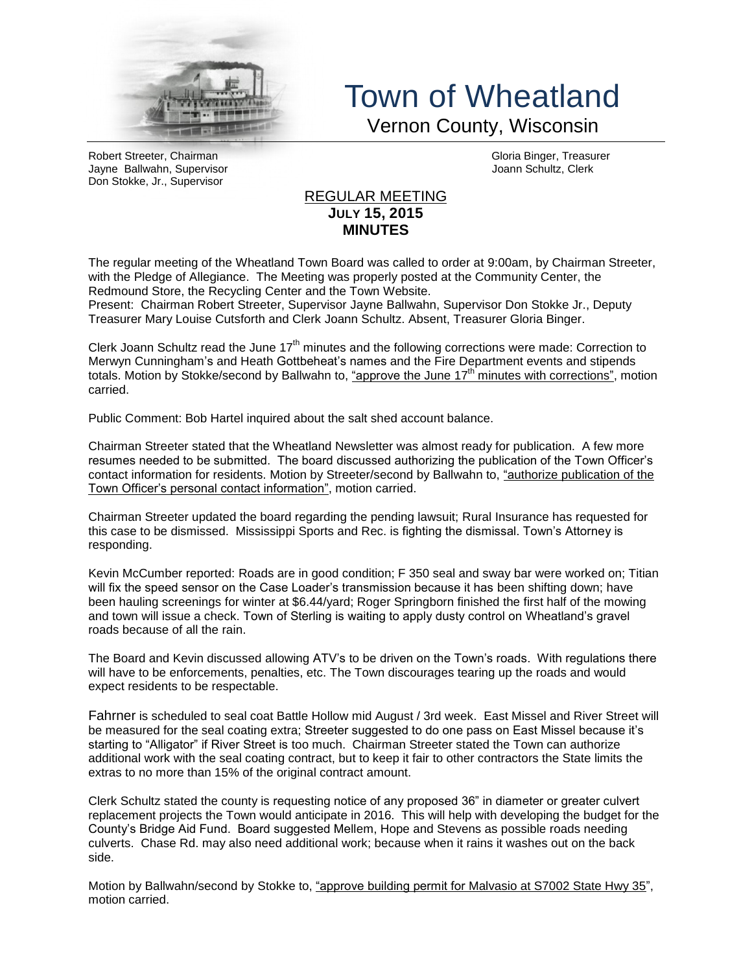

## Town of Wheatland Vernon County, Wisconsin

Robert Streeter, Chairman (Gloria Binger, Treasurer and Gloria Binger, Treasurer and Gloria Binger, Treasurer<br>Jayne Ballwahn, Supervisor Jayne Ballwahn, Supervisor Don Stokke, Jr., Supervisor

## REGULAR MEETING **JULY 15, 2015 MINUTES**

The regular meeting of the Wheatland Town Board was called to order at 9:00am, by Chairman Streeter, with the Pledge of Allegiance. The Meeting was properly posted at the Community Center, the Redmound Store, the Recycling Center and the Town Website.

Present: Chairman Robert Streeter, Supervisor Jayne Ballwahn, Supervisor Don Stokke Jr., Deputy Treasurer Mary Louise Cutsforth and Clerk Joann Schultz. Absent, Treasurer Gloria Binger.

Clerk Joann Schultz read the June 17<sup>th</sup> minutes and the following corrections were made: Correction to Merwyn Cunningham's and Heath Gottbeheat's names and the Fire Department events and stipends totals. Motion by Stokke/second by Ballwahn to, "approve the June  $17<sup>th</sup>$  minutes with corrections", motion carried.

Public Comment: Bob Hartel inquired about the salt shed account balance.

Chairman Streeter stated that the Wheatland Newsletter was almost ready for publication. A few more resumes needed to be submitted. The board discussed authorizing the publication of the Town Officer's contact information for residents. Motion by Streeter/second by Ballwahn to, "authorize publication of the Town Officer's personal contact information", motion carried.

Chairman Streeter updated the board regarding the pending lawsuit; Rural Insurance has requested for this case to be dismissed. Mississippi Sports and Rec. is fighting the dismissal. Town's Attorney is responding.

Kevin McCumber reported: Roads are in good condition; F 350 seal and sway bar were worked on; Titian will fix the speed sensor on the Case Loader's transmission because it has been shifting down; have been hauling screenings for winter at \$6.44/yard; Roger Springborn finished the first half of the mowing and town will issue a check. Town of Sterling is waiting to apply dusty control on Wheatland's gravel roads because of all the rain.

The Board and Kevin discussed allowing ATV's to be driven on the Town's roads. With regulations there will have to be enforcements, penalties, etc. The Town discourages tearing up the roads and would expect residents to be respectable.

Fahrner is scheduled to seal coat Battle Hollow mid August / 3rd week. East Missel and River Street will be measured for the seal coating extra; Streeter suggested to do one pass on East Missel because it's starting to "Alligator" if River Street is too much. Chairman Streeter stated the Town can authorize additional work with the seal coating contract, but to keep it fair to other contractors the State limits the extras to no more than 15% of the original contract amount.

Clerk Schultz stated the county is requesting notice of any proposed 36" in diameter or greater culvert replacement projects the Town would anticipate in 2016. This will help with developing the budget for the County's Bridge Aid Fund. Board suggested Mellem, Hope and Stevens as possible roads needing culverts. Chase Rd. may also need additional work; because when it rains it washes out on the back side.

Motion by Ballwahn/second by Stokke to, "approve building permit for Malvasio at S7002 State Hwy 35", motion carried.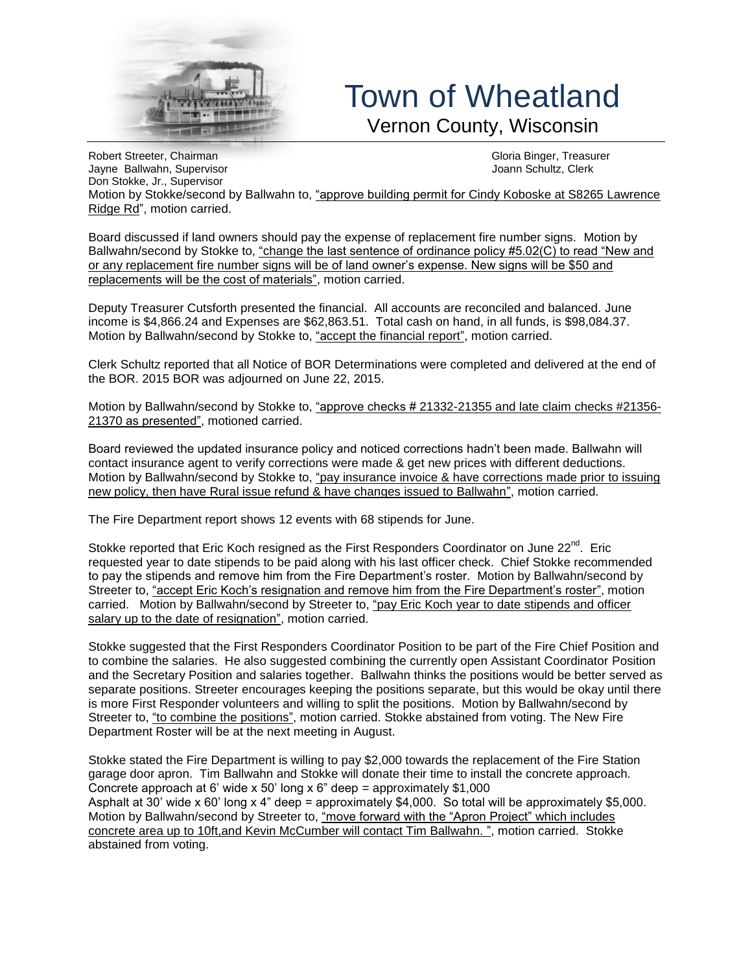

## Town of Wheatland Vernon County, Wisconsin

Robert Streeter, Chairman (Chairman Chairman Chairmeile and Chairmeile and Chairmeile and Chairmeile and Chair<br>The Sallwahn, Supervisor (Gloria Binger) and Chairmeile and Chairmeile and Chairmeile and Chairmeile and Chair<br> Jayne Ballwahn, Supervisor Don Stokke, Jr., Supervisor Motion by Stokke/second by Ballwahn to, "approve building permit for Cindy Koboske at S8265 Lawrence Ridge Rd", motion carried.

Board discussed if land owners should pay the expense of replacement fire number signs. Motion by Ballwahn/second by Stokke to, "change the last sentence of ordinance policy #5.02(C) to read "New and or any replacement fire number signs will be of land owner's expense. New signs will be \$50 and replacements will be the cost of materials", motion carried.

Deputy Treasurer Cutsforth presented the financial. All accounts are reconciled and balanced. June income is \$4,866.24 and Expenses are \$62,863.51. Total cash on hand, in all funds, is \$98,084.37. Motion by Ballwahn/second by Stokke to, "accept the financial report", motion carried.

Clerk Schultz reported that all Notice of BOR Determinations were completed and delivered at the end of the BOR. 2015 BOR was adjourned on June 22, 2015.

Motion by Ballwahn/second by Stokke to, "approve checks # 21332-21355 and late claim checks #21356- 21370 as presented", motioned carried.

Board reviewed the updated insurance policy and noticed corrections hadn't been made. Ballwahn will contact insurance agent to verify corrections were made & get new prices with different deductions. Motion by Ballwahn/second by Stokke to, "pay insurance invoice & have corrections made prior to issuing new policy, then have Rural issue refund & have changes issued to Ballwahn", motion carried.

The Fire Department report shows 12 events with 68 stipends for June.

Stokke reported that Eric Koch resigned as the First Responders Coordinator on June  $22^{nd}$ . Eric requested year to date stipends to be paid along with his last officer check. Chief Stokke recommended to pay the stipends and remove him from the Fire Department's roster. Motion by Ballwahn/second by Streeter to, "accept Eric Koch's resignation and remove him from the Fire Department's roster", motion carried. Motion by Ballwahn/second by Streeter to, "pay Eric Koch year to date stipends and officer salary up to the date of resignation", motion carried.

Stokke suggested that the First Responders Coordinator Position to be part of the Fire Chief Position and to combine the salaries. He also suggested combining the currently open Assistant Coordinator Position and the Secretary Position and salaries together. Ballwahn thinks the positions would be better served as separate positions. Streeter encourages keeping the positions separate, but this would be okay until there is more First Responder volunteers and willing to split the positions. Motion by Ballwahn/second by Streeter to, "to combine the positions", motion carried. Stokke abstained from voting. The New Fire Department Roster will be at the next meeting in August.

Stokke stated the Fire Department is willing to pay \$2,000 towards the replacement of the Fire Station garage door apron. Tim Ballwahn and Stokke will donate their time to install the concrete approach. Concrete approach at 6' wide x 50' long x 6" deep = approximately  $$1,000$ Asphalt at 30' wide x 60' long x 4" deep = approximately \$4,000. So total will be approximately \$5,000. Motion by Ballwahn/second by Streeter to, "move forward with the "Apron Project" which includes concrete area up to 10ft,and Kevin McCumber will contact Tim Ballwahn. ", motion carried. Stokke abstained from voting.